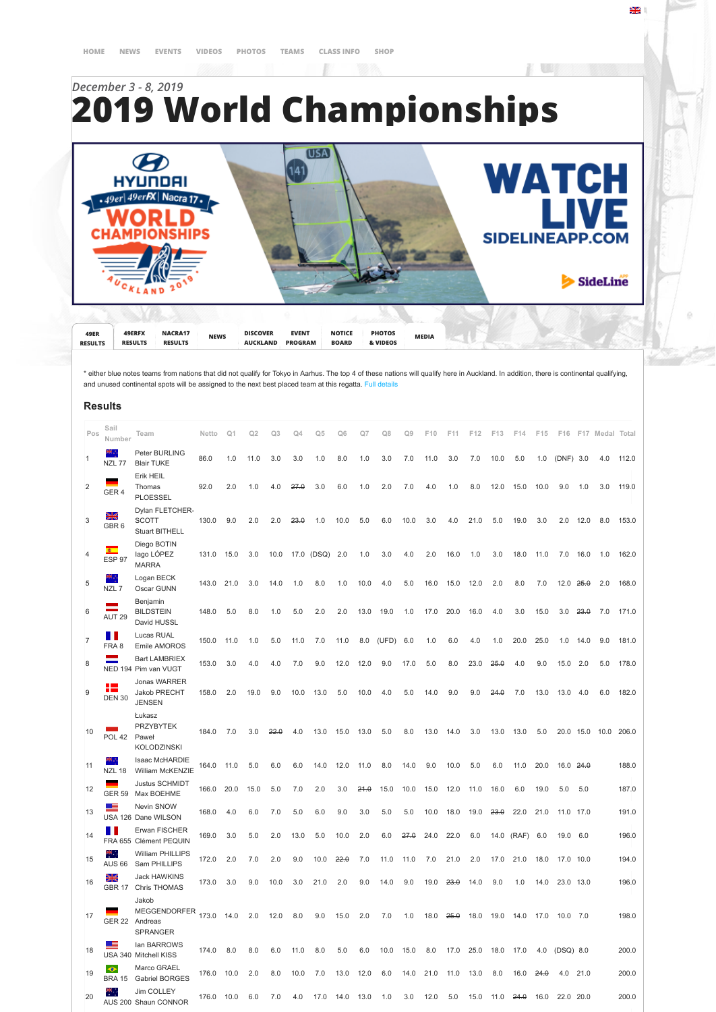## *December 3 - 8, 2019* **2019 World Championships**

B



원년 1

\* either blue notes teams from nations that did not qualify for Tokyo in Aarhus. The top 4 of these nations will qualify here in Auckland. In addition, there is continental qualifying, and unused continental spots will be assigned to the next best placed team at this regatta. Full deta

## **Results**

| Pos            | Sail<br>Number             | Team                                                              | Netto | Q <sub>1</sub> | O <sub>2</sub> | Q3   | ۵4       | Q5    | Ωĥ   | Ω7   | O <sub>8</sub> | O۹   | F10  | F11  | F12  | F13  | F14   | F15  | F16       |                 | F17 Medal Total |       |
|----------------|----------------------------|-------------------------------------------------------------------|-------|----------------|----------------|------|----------|-------|------|------|----------------|------|------|------|------|------|-------|------|-----------|-----------------|-----------------|-------|
| 1              | NZL 77                     | Peter BURLING<br><b>Blair TUKE</b>                                | 86.0  | 1.0            | 11.0           | 3.0  | 3.0      | 1.0   | 8.0  | 1.0  | 3.0            | 7.0  | 11.0 | 3.0  | 7.0  | 10.0 | 5.0   | 1.0  | (DNF) 3.0 |                 | 4.0             | 112.0 |
| $\overline{2}$ | GER <sub>4</sub>           | Erik HEIL<br>Thomas<br><b>PLOESSEL</b>                            | 92.0  | 2.0            | 1.0            | 4.0  | 27.0     | 3.0   | 6.0  | 1.0  | 2.0            | 7.0  | 4.0  | 1.0  | 8.0  | 12.0 | 15.0  | 10.0 | 9.0       | 1.0             | 3.0             | 119.0 |
| 3              | ¥<br>GBR <sub>6</sub>      | Dylan FLETCHER-<br><b>SCOTT</b><br><b>Stuart BITHELL</b>          | 130.0 | 9.0            | 2.0            | 2.0  | $23 - 0$ | 1.0   | 10.0 | 5.0  | 6.0            | 10.0 | 3.0  | 4.0  | 21.0 | 5.0  | 19.0  | 3.0  | 2.0       | 12.0            | 8.0             | 153.0 |
| 4              | $\bullet$<br>ESP 97        | Diego BOTIN<br>lago LÓPEZ<br><b>MARRA</b>                         | 131.0 | 15.0           | 3.0            | 10.0 | 17.0     | (DSQ) | 2.0  | 1.0  | 3.0            | 4.0  | 2.0  | 16.0 | 1.0  | 3.0  | 18.0  | 11.0 | 7.0       | 16.0            | 1.0             | 162.0 |
| 5              | 97<br>NZL7                 | Logan BECK<br>Oscar GUNN                                          | 143.0 | 21.0           | 3.0            | 14.0 | 1.0      | 8.0   | 1.0  | 10.0 | 4.0            | 5.0  | 16.0 | 15.0 | 12.0 | 2.0  | 8.0   | 7.0  | 12.0      | <del>25.0</del> | 2.0             | 168.0 |
| 6              | AUT <sub>29</sub>          | Benjamin<br><b>BILDSTEIN</b><br>David HUSSL                       | 148.0 | 5.0            | 8.0            | 1.0  | 5.0      | 2.0   | 2.0  | 13.0 | 19.0           | 1.0  | 17.0 | 20.0 | 16.0 | 4.0  | 3.0   | 15.0 | 3.0       | 23.0            | 7.0             | 171.0 |
| $\overline{7}$ | FRA 8                      | Lucas RUAL<br>Emile AMOROS                                        | 150.0 | 11.0           | 1.0            | 5.0  | 11.0     | 7.0   | 11.0 | 8.0  | (UFD)          | 6.0  | 1.0  | 6.0  | 4.0  | 1.0  | 20.0  | 25.0 | 1.0       | 14.0            | 9.0             | 181.0 |
| 8              | ÷                          | <b>Bart LAMBRIEX</b><br>NED 194 Pim van VUGT                      | 153.0 | 3.0            | 4.0            | 4.0  | 7.0      | 9.0   | 12.0 | 12.0 | 9.0            | 17.0 | 5.0  | 8.0  | 23.0 | 26.0 | 4.0   | 9.0  | 15.0      | 2.0             | 5.0             | 178.0 |
| 9              | н.<br><b>DEN 30</b>        | Jonas WARRER<br>Jakob PRECHT<br><b>JENSEN</b>                     | 158.0 | 2.0            | 19.0           | 9.0  | 10.0     | 13.0  | 5.0  | 10.0 | 4.0            | 5.0  | 14.0 | 9.0  | 9.0  | 24.0 | 7.0   | 13.0 | 13.0      | 4.0             | 6.0             | 182.0 |
| 10             | POL 42                     | Łukasz<br><b>PRZYBYTEK</b><br>Paweł<br><b>KOLODZINSKI</b>         | 184.0 | 7.0            | 3.0            | 22.0 | 4.0      | 13.0  | 15.0 | 13.0 | 5.0            | 8.0  | 13.0 | 14.0 | 3.0  | 13.0 | 13.0  | 5.0  | 20.0      | 15.0            | 10.0            | 206.0 |
| 11             | <b>NZL 18</b>              | Isaac McHARDIE<br>William McKENZIE                                | 164.0 | 11.0           | 5.0            | 6.0  | 6.0      | 14.0  | 12.0 | 11.0 | 8.0            | 14.0 | 9.0  | 10.0 | 5.0  | 6.0  | 11.0  | 20.0 | 16.0      | 24.0            |                 | 188.0 |
| 12             | <b>GER 59</b>              | <b>Justus SCHMIDT</b><br>Max BOEHME                               | 166.0 | 20.0           | 15.0           | 5.0  | 7.0      | 2.0   | 3.0  | 24.0 | 15.0           | 10.0 | 15.0 | 12.0 | 11.0 | 16.0 | 6.0   | 19.0 | 5.0       | 5.0             |                 | 187.0 |
| 13             | 트                          | Nevin SNOW<br>USA 126 Dane WILSON                                 | 168.0 | 4.0            | 6.0            | 7.0  | 5.0      | 6.0   | 9.0  | 3.0  | 5.0            | 5.0  | 10.0 | 18.0 | 19.0 | 23.0 | 22.0  | 21.0 | 11.0      | 17.0            |                 | 191.0 |
| 14             | . .                        | Erwan FISCHER<br>FRA 655 Clément PEQUIN                           | 169.0 | 3.0            | 5.0            | 2.0  | 13.0     | 5.0   | 10.0 | 2.0  | 6.0            | 27.0 | 24.0 | 22.0 | 6.0  | 14.0 | (RAF) | 6.0  | 19.0      | 6.0             |                 | 196.0 |
| 15             | ₩.,<br><b>AUS 66</b>       | William PHILLIPS<br>Sam PHILLIPS                                  | 172.0 | 2.0            | 7.0            | 2.0  | 9.0      | 10.0  | 22.0 | 7.0  | 11.0           | 11.0 | 7.0  | 21.0 | 2.0  | 17.0 | 21.0  | 18.0 | 17.0      | 10.0            |                 | 194.0 |
| 16             | 뵑                          | Jack HAWKINS<br>GBR 17 Chris THOMAS                               | 173.0 | 3.0            | 9.0            | 10.0 | 3.0      | 21.0  | 2.0  | 9.0  | 14.0           | 9.0  | 19.0 | 23.0 | 14.0 | 9.0  | 1.0   | 14.0 | 23.0 13.0 |                 |                 | 196.0 |
| 17             |                            | Jakob<br><b>MEGGENDORFER</b><br>GER 22 Andreas<br><b>SPRANGER</b> | 173.0 | 14.0           | 2.0            | 12.0 | 8.0      | 9.0   | 15.0 | 2.0  | 7.0            | 1.0  | 18.0 | 26.0 | 18.0 | 19.0 | 14.0  | 17.0 | 10.0      | 7.0             |                 | 198.0 |
| 18             | ᆖ                          | lan BARROWS<br>USA 340 Mitchell KISS                              | 174.0 | 8.0            | 8.0            | 6.0  | 11.0     | 8.0   | 5.0  | 6.0  | 10.0           | 15.0 | 8.0  | 17.0 | 25.0 | 18.0 | 17.0  | 4.0  | (DSQ) 8.0 |                 |                 | 200.0 |
| 19             | $\bullet$<br><b>BRA 15</b> | Marco GRAEL<br><b>Gabriel BORGES</b>                              | 176.0 | 10.0           | 2.0            | 8.0  | 10.0     | 7.0   | 13.0 | 12.0 | 6.0            | 14.0 | 21.0 | 11.0 | 13.0 | 8.0  | 16.0  | 24.0 | 4.0       | 21.0            |                 | 200.0 |
| 20             | т.                         | Jim COLLEY<br>AUS 200 Shaun CONNOR                                | 176.0 | 10.0           | 6.0            | 7.0  | 4.0      | 17.0  | 14.0 | 13.0 | 1.0            | 3.0  | 12.0 | 5.0  | 15.0 | 11.0 | 24.0  | 16.0 | 22.0      | 20.0            |                 | 200.0 |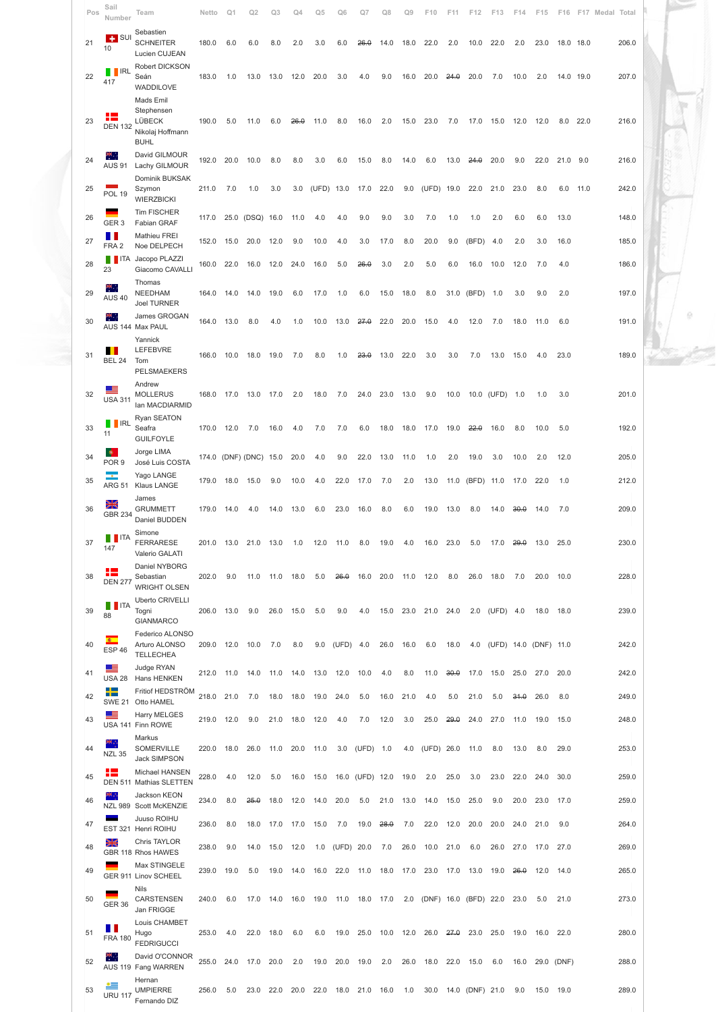| Pos | Sail<br>Number                 | Team                                                                        | Netto      | Q <sub>1</sub> | Q2                     | Q3   | Q4   | Ο5    | ω6         | O7              | Q8   | O9   | F10                        | F11  | F12        | F13            | F14   | F15                   | F16       |      | F17 Medal Total |       |  |
|-----|--------------------------------|-----------------------------------------------------------------------------|------------|----------------|------------------------|------|------|-------|------------|-----------------|------|------|----------------------------|------|------------|----------------|-------|-----------------------|-----------|------|-----------------|-------|--|
| 21  | $\leftarrow$ SUI<br>10         | Sebastien<br><b>SCHNEITER</b><br>Lucien CUJEAN                              | 180.0      | 6.0            | 6.0                    | 8.0  | 2.0  | 3.0   | 6.0        | 26.0            | 14.0 | 18.0 | 22.0                       | 2.0  | 10.0       | 22.0           | 2.0   | 23.0                  | 18.0 18.0 |      |                 | 206.0 |  |
| 22  | <b>TERL</b><br>417             | Robert DICKSON<br>Seán<br>WADDILOVE                                         | 183.0      | 1.0            | 13.0                   | 13.0 | 12.0 | 20.0  | 3.0        | 4.0             | 9.0  | 16.0 | 20.0                       | 24.0 | 20.0       | 7.0            | 10.0  | 2.0                   | 14.0 19.0 |      |                 | 207.0 |  |
| 23  | +<br><b>DEN 132</b>            | Mads Emil<br>Stephensen<br><b>LÜBECK</b><br>Nikolaj Hoffmann<br><b>BUHL</b> | 190.0      | 5.0            | 11.0                   | 6.0  | 26.0 | 11.0  | 8.0        | 16.0            | 2.0  | 15.0 | 23.0                       | 7.0  | 17.0       | 15.0           | 12.0  | 12.0                  | 8.0       | 22.0 |                 | 216.0 |  |
| 24  | m.<br><b>AUS 91</b>            | David GILMOUR<br>Lachy GILMOUR                                              | 192.0      | 20.0           | 10.0                   | 8.0  | 8.0  | 3.0   | 6.0        | 15.0            | 8.0  | 14.0 | 6.0                        | 13.0 | 24.0       | 20.0           | 9.0   | 22.0                  | 21.0      | 9.0  |                 | 216.0 |  |
| 25  | <b>POL 19</b>                  | Dominik BUKSAK<br>Szymon<br><b>WIERZBICKI</b>                               | 211.0      | 7.0            | 1.0                    | 3.0  | 3.0  | (UFD) | 13.0       | 17.0            | 22.0 | 9.0  | (UFD)                      | 19.0 | 22.0       | 21.0           | 23.0  | 8.0                   | 6.0       | 11.0 |                 | 242.0 |  |
| 26  | GER <sub>3</sub>               | <b>Tim FISCHER</b><br>Fabian GRAF                                           | 117.0      | 25.0           | (DSQ)                  | 16.0 | 11.0 | 4.0   | 4.0        | 9.0             | 9.0  | 3.0  | 7.0                        | 1.0  | 1.0        | 2.0            | 6.0   | 6.0                   | 13.0      |      |                 | 148.0 |  |
| 27  | . .<br>FRA <sub>2</sub>        | Mathieu FREI<br>Noe DELPECH                                                 | 152.0      | 15.0           | 20.0                   | 12.0 | 9.0  | 10.0  | 4.0        | 3.0             | 17.0 | 8.0  | 20.0                       | 9.0  | (BFD)      | 4.0            | 2.0   | 3.0                   | 16.0      |      |                 | 185.0 |  |
| 28  | <b>T</b> ITA<br>23             | Jacopo PLAZZI<br>Giacomo CAVALLI                                            | 160.0      | 22.0           | 16.0                   | 12.0 | 24.0 | 16.0  | 5.0        | 26.0            | 3.0  | 2.0  | 5.0                        | 6.0  | 16.0       | 10.0           | 12.0  | 7.0                   | 4.0       |      |                 | 186.0 |  |
| 29  | ₩.,<br><b>AUS 40</b>           | Thomas<br>NEEDHAM<br><b>Joel TURNER</b>                                     | 164.0      | 14.0           | 14.0                   | 19.0 | 6.0  | 17.0  | 1.0        | 6.0             | 15.0 | 18.0 | 8.0                        | 31.0 | (BFD)      | 1.0            | 3.0   | 9.0                   | 2.0       |      |                 | 197.0 |  |
| 30  | æ,                             | James GROGAN<br>AUS 144 Max PAUL                                            | 164.0      | 13.0           | 8.0                    | 4.0  | 1.0  | 10.0  | 13.0       | 27.0            | 22.0 | 20.0 | 15.0                       | 4.0  | 12.0       | 7.0            | 18.0  | 11.0                  | 6.0       |      |                 | 191.0 |  |
| 31  | 1 I<br><b>BEL 24</b>           | Yannick<br><b>LEFEBVRE</b><br>Tom<br>PELSMAEKERS                            | 166.0      | 10.0           | 18.0                   | 19.0 | 7.0  | 8.0   | 1.0        | 23.0            | 13.0 | 22.0 | 3.0                        | 3.0  | 7.0        | 13.0           | 15.0  | 4.0                   | 23.0      |      |                 | 189.0 |  |
| 32  | <u>e E</u><br><b>USA 311</b>   | Andrew<br><b>MOLLERUS</b><br>lan MACDIARMID                                 | 168.0      | 17.0           | 13.0                   | 17.0 | 2.0  | 18.0  | 7.0        | 24.0            | 23.0 | 13.0 | 9.0                        | 10.0 |            | 10.0 (UFD) 1.0 |       | 1.0                   | 3.0       |      |                 | 201.0 |  |
| 33  | <b>II</b> IRL<br>11            | Ryan SEATON<br>Seafra<br><b>GUILFOYLE</b>                                   | 170.0 12.0 |                | 7.0                    | 16.0 | 4.0  | 7.0   | 7.0        | 6.0             | 18.0 | 18.0 | 17.0                       | 19.0 | 22.0       | 16.0           | 8.0   | 10.0                  | 5.0       |      |                 | 192.0 |  |
| 34  | <b>O</b><br>POR <sub>9</sub>   | Jorge LIMA<br>José Luis COSTA                                               |            |                | 174.0 (DNF) (DNC) 15.0 |      | 20.0 | 4.0   | 9.0        | 22.0            | 13.0 | 11.0 | 1.0                        | 2.0  | 19.0       | 3.0            | 10.0  | 2.0                   | 12.0      |      |                 | 205.0 |  |
| 35  | ÷<br><b>ARG 51</b>             | Yago LANGE<br><b>Klaus LANGE</b>                                            | 179.0      | 18.0           | 15.0                   | 9.0  | 10.0 | 4.0   | 22.0       | 17.0            | 7.0  | 2.0  | 13.0                       | 11.0 | (BFD) 11.0 |                | 17.0  | 22.0                  | 1.0       |      |                 | 212.0 |  |
| 36  | 웲<br><b>GBR 234</b>            | James<br><b>GRUMMETT</b><br>Daniel BUDDEN                                   | 179.0      | 14.0           | 4.0                    | 14.0 | 13.0 | 6.0   | 23.0       | 16.0            | 8.0  | 6.0  | 19.0                       | 13.0 | 8.0        | 14.0           | 30.0  | 14.0                  | 7.0       |      |                 | 209.0 |  |
| 37  | <b>T</b> ITA<br>147            | Simone<br>FERRARESE<br>Valerio GALATI                                       | 201.0      | 13.0           | 21.0                   | 13.0 | 1.0  | 12.0  | 11.0       | 8.0             | 19.0 | 4.0  | 16.0                       | 23.0 | 5.0        | 17.0           | -29.0 | 13.0                  | 25.0      |      |                 | 230.0 |  |
| 38  | ╄<br><b>DEN 277</b>            | Daniel NYBORG<br>Sebastian<br><b>WRIGHT OLSEN</b>                           | 202.0      | 9.0            | 11.0                   | 11.0 | 18.0 | 5.0   | 26.0       | 16.0            | 20.0 | 11.0 | 12.0                       | 8.0  | 26.0       | 18.0           | 7.0   | 20.0                  | 10.0      |      |                 | 228.0 |  |
| 39  | <b>T</b> ITA<br>88             | <b>Uberto CRIVELLI</b><br>Togni<br><b>GIANMARCO</b>                         | 206.0 13.0 |                | 9.0                    | 26.0 | 15.0 | 5.0   | 9.0        | 4.0             | 15.0 | 23.0 | 21.0                       | 24.0 |            | 2.0 (UFD) 4.0  |       | 18.0                  | 18.0      |      |                 | 239.0 |  |
| 40  | $\bullet$<br>ESP <sub>46</sub> | Federico ALONSO<br>Arturo ALONSO<br><b>TELLECHEA</b>                        | 209.0      | 12.0           | 10.0                   | 7.0  | 8.0  | 9.0   | (UFD) 4.0  |                 | 26.0 | 16.0 | 6.0                        | 18.0 | 4.0        |                |       | (UFD) 14.0 (DNF) 11.0 |           |      |                 | 242.0 |  |
| 41  | ᆖ<br><b>USA 28</b>             | Judge RYAN<br>Hans HENKEN                                                   | 212.0      | 11.0           | 14.0                   | 11.0 | 14.0 | 13.0  | 12.0       | 10.0            | 4.0  | 8.0  | 11.0                       | 30.0 | 17.0       | 15.0           | 25.0  | 27.0                  | 20.0      |      |                 | 242.0 |  |
| 42  | ┶<br><b>SWE 21</b>             | Fritiof HEDSTRÖM<br>Otto HAMEL                                              | 218.0 21.0 |                | 7.0                    | 18.0 | 18.0 | 19.0  | 24.0       | 5.0             | 16.0 | 21.0 | 4.0                        | 5.0  | 21.0       | 5.0            | 31.0  | 26.0                  | 8.0       |      |                 | 249.0 |  |
| 43  | —                              | Harry MELGES<br>USA 141 Finn ROWE                                           | 219.0      | 12.0           | 9.0                    | 21.0 | 18.0 | 12.0  | 4.0        | 7.0             | 12.0 | 3.0  | 25.0                       | 20.0 | 24.0       | 27.0           | 11.0  | 19.0                  | 15.0      |      |                 | 248.0 |  |
| 44  | ж.,<br><b>NZL 35</b>           | Markus<br>SOMERVILLE<br><b>Jack SIMPSON</b>                                 | 220.0      | 18.0           | 26.0                   | 11.0 | 20.0 | 11.0  | 3.0        | (UFD)           | 1.0  | 4.0  | (UFD) 26.0                 |      | 11.0       | 8.0            | 13.0  | 8.0                   | 29.0      |      |                 | 253.0 |  |
| 45  | ┺                              | Michael HANSEN<br>DEN 511 Mathias SLETTEN                                   | 228.0      | 4.0            | 12.0                   | 5.0  | 16.0 | 15.0  |            | 16.0 (UFD) 12.0 |      | 19.0 | 2.0                        | 25.0 | 3.0        | 23.0           | 22.0  | 24.0                  | 30.0      |      |                 | 259.0 |  |
| 46  | к,                             | Jackson KEON<br>NZL 989 Scott McKENZIE                                      | 234.0      | 8.0            | 26.0                   | 18.0 | 12.0 | 14.0  | 20.0       | 5.0             | 21.0 | 13.0 | 14.0                       | 15.0 | 25.0       | 9.0            | 20.0  | 23.0                  | 17.0      |      |                 | 259.0 |  |
| 47  |                                | Juuso ROIHU<br>EST 321 Henri ROIHU                                          | 236.0      | 8.0            | 18.0                   | 17.0 | 17.0 | 15.0  | 7.0        | 19.0            | 28.0 | 7.0  | 22.0                       | 12.0 | 20.0       | 20.0           | 24.0  | 21.0                  | 9.0       |      |                 | 264.0 |  |
| 48  | ₩                              | Chris TAYLOR<br>GBR 118 Rhos HAWES                                          | 238.0      | 9.0            | 14.0                   | 15.0 | 12.0 | 1.0   | (UFD) 20.0 |                 | 7.0  | 26.0 | 10.0                       | 21.0 | 6.0        | 26.0           | 27.0  | 17.0                  | 27.0      |      |                 | 269.0 |  |
| 49  |                                | Max STINGELE<br>GER 911 Linov SCHEEL                                        | 239.0      | 19.0           | 5.0                    | 19.0 | 14.0 | 16.0  | 22.0       | 11.0            | 18.0 | 17.0 | 23.0                       | 17.0 | 13.0       | 19.0           | 26.0  | 12.0                  | 14.0      |      |                 | 265.0 |  |
| 50  | <b>GER 36</b>                  | <b>Nils</b><br>CARSTENSEN<br>Jan FRIGGE                                     | 240.0      | 6.0            | 17.0                   | 14.0 | 16.0 | 19.0  | 11.0       | 18.0            | 17.0 | 2.0  | (DNF) 16.0 (BFD) 22.0 23.0 |      |            |                |       | 5.0                   | 21.0      |      |                 | 273.0 |  |
| 51  | Ш<br><b>FRA 180</b>            | Louis CHAMBET<br>Hugo<br><b>FEDRIGUCCI</b>                                  | 253.0      | 4.0            | 22.0                   | 18.0 | 6.0  | 6.0   | 19.0       | 25.0            | 10.0 | 12.0 | 26.0                       | 27.0 | 23.0       | 25.0           | 19.0  | 16.0                  | 22.0      |      |                 | 280.0 |  |
| 52  | m.                             | David O'CONNOR<br>AUS 119 Fang WARREN                                       | 255.0      | 24.0           | 17.0                   | 20.0 | 2.0  | 19.0  | 20.0       | 19.0            | 2.0  | 26.0 | 18.0                       | 22.0 | 15.0       | 6.0            | 16.0  | 29.0                  | (DNF)     |      |                 | 288.0 |  |
| 53  | ≔<br><b>URU 117</b>            | Hernan<br><b>UMPIERRE</b><br>Fernando DIZ                                   | 256.0      | 5.0            | 23.0                   | 22.0 | 20.0 | 22.0  | 18.0       | 21.0            | 16.0 | 1.0  | 30.0                       | 14.0 | (DNF) 21.0 |                | 9.0   | 15.0                  | 19.0      |      |                 | 289.0 |  |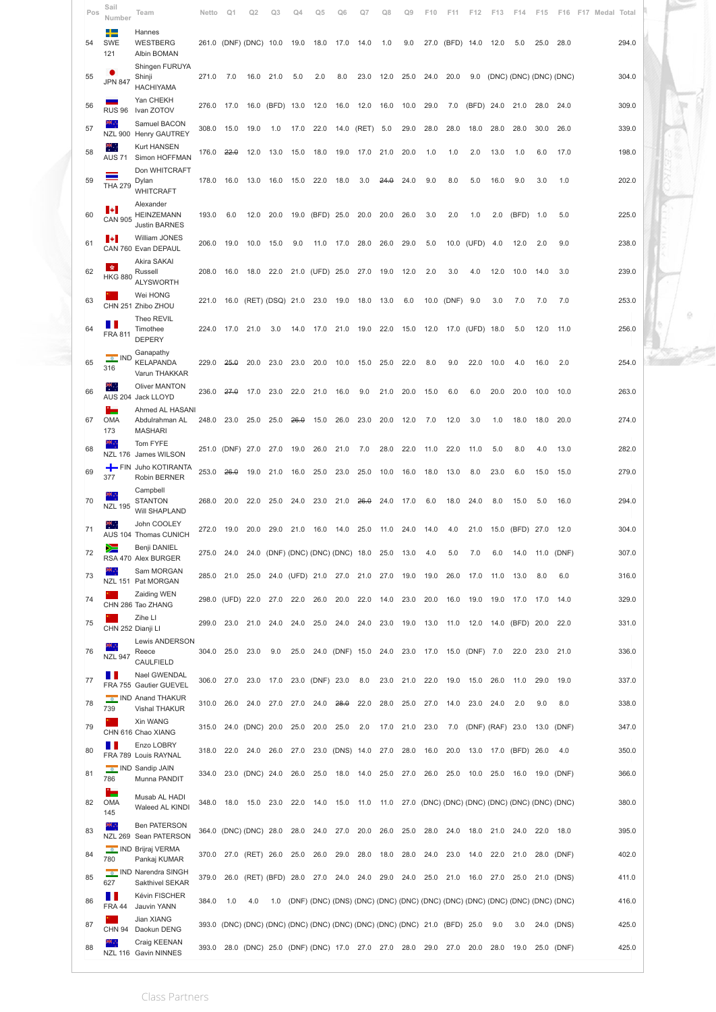| Pos      | Sail<br>Number              | Team                                                    | Netto          | Q <sub>1</sub>   | Q2                                                                          | Ω3    | O4                                     | Ω5         | Ω6                      | O.    | O٤           | 0٩                                                                                  | ١O           |              |                  | F13          | F14                     | F15  | F16                    | F17 | Medal | Total          |  |
|----------|-----------------------------|---------------------------------------------------------|----------------|------------------|-----------------------------------------------------------------------------|-------|----------------------------------------|------------|-------------------------|-------|--------------|-------------------------------------------------------------------------------------|--------------|--------------|------------------|--------------|-------------------------|------|------------------------|-----|-------|----------------|--|
| 54       | ┶<br><b>SWE</b><br>121      | Hannes<br>WESTBERG<br>Albin BOMAN                       |                |                  | 261.0 (DNF) (DNC) 10.0                                                      |       | 19.0                                   | 18.0       | 17.0                    | 14.0  | 1.0          | 9.0                                                                                 | 27.0         | (BFD) 14.0   |                  | 12.0         | 5.0                     | 25.0 | 28.0                   |     |       | 294.0          |  |
| 55       | <b>JPN 847</b>              | Shingen FURUYA<br>Shinji<br><b>HACHIYAMA</b>            | 271.0          | 7.0              | 16.0                                                                        | 21.0  | 5.0                                    | 2.0        | 8.0                     | 23.0  | 12.0         | 25.0                                                                                | 24.0         | 20.0         | 9.0              |              | (DNC) (DNC) (DNC) (DNC) |      |                        |     |       | 304.0          |  |
| 56       | <b>RUS 96</b>               | Yan CHEKH<br>Ivan ZOTOV                                 | 276.0          | 17.0             | 16.0                                                                        | (BFD) | 13.0                                   | 12.0       | 16.0                    | 12.0  | 16.0         | 10.0                                                                                | 29.0         | 7.0          | (BFD)            | 24.0         | 21.0                    | 28.0 | 24.0                   |     |       | 309.0          |  |
| 57       |                             | Samuel BACON<br>NZL 900 Henry GAUTREY                   | 308.0          | 15.0             | 19.0                                                                        | 1.0   | 17.0                                   | 22.0       | 14.0                    | (RET) | 5.0          | 29.0                                                                                | 28.0         | 28.0         | 18.0             | 28.0         | 28.0                    | 30.0 | 26.0                   |     |       | 339.0          |  |
| 58       | щ÷,<br><b>AUS 71</b>        | Kurt HANSEN<br>Simon HOFFMAN                            | 176.0          | 22.0             | 12.0                                                                        | 13.0  | 15.0                                   | 18.0       | 19.0                    | 17.0  | 21.0         | 20.0                                                                                | 1.0          | 1.0          | 2.0              | 13.0         | 1.0                     | 6.0  | 17.0                   |     |       | 198.0          |  |
| 59       | <b>THA 279</b>              | Don WHITCRAFT<br>Dylan<br><b>WHITCRAFT</b>              | 178.0          | 16.0             | 13.0                                                                        | 16.0  | 15.0                                   | 22.0       | 18.0                    | 3.0   | 24.0         | 24.0                                                                                | 9.0          | 8.0          | 5.0              | 16.0         | 9.0                     | 3.0  | 1.0                    |     |       | 202.0          |  |
| 60       | н<br><b>CAN 905</b>         | Alexander<br><b>HEINZEMANN</b><br><b>Justin BARNES</b>  | 193.0          | 6.0              | 12.0                                                                        | 20.0  | 19.0                                   | (BFD) 25.0 |                         | 20.0  | 20.0         | 26.0                                                                                | 3.0          | 2.0          | 1.0              | 2.0          | (BFD)                   | 1.0  | 5.0                    |     |       | 225.0          |  |
| 61       | н                           | William JONES<br>CAN 760 Evan DEPAUL                    | 206.0          | 19.0             | 10.0                                                                        | 15.0  | 9.0                                    | 11.0       | 17.0                    | 28.0  | 26.0         | 29.0                                                                                | 5.0          | 10.0         | (UFD)            | 4.0          | 12.0                    | 2.0  | 9.0                    |     |       | 238.0          |  |
| 62       | <b>SE</b><br><b>HKG 880</b> | Akira SAKAI<br>Russell<br><b>ALYSWORTH</b>              | 208.0          | 16.0             | 18.0                                                                        | 22.0  | 21.0                                   | (UFD) 25.0 |                         | 27.0  | 19.0         | 12.0                                                                                | 2.0          | 3.0          | 4.0              | 12.0         | 10.0                    | 14.0 | 3.0                    |     |       | 239.0          |  |
| 63       |                             | Wei HONG<br>CHN 251 Zhibo ZHOU                          | 221.0          | 16.0             | (RET) (DSQ) 21.0                                                            |       |                                        | 23.0       | 19.0                    | 18.0  | 13.0         | 6.0                                                                                 | 10.0         | (DNF)        | 9.0              | 3.0          | 7.0                     | 7.0  | 7.0                    |     |       | 253.0          |  |
| 64       | . .<br><b>FRA 811</b>       | Theo REVIL<br>Timothee<br><b>DEPERY</b>                 | 224.0          | 17.0             | 21.0                                                                        | 3.0   | 14.0                                   | 17.0       | 21.0                    | 19.0  | 22.0         | 15.0                                                                                | 12.0         | 17.0         | (UFD)            | 18.0         | 5.0                     | 12.0 | 11.0                   |     |       | 256.0          |  |
| 65       | <b>C</b> IND<br>316         | Ganapathy<br><b>KELAPANDA</b><br>Varun THAKKAR          | 229.0          | 26.0             | 20.0                                                                        | 23.0  | 23.0                                   | 20.0       | 10.0                    | 15.0  | 25.0         | 22.0                                                                                | 8.0          | 9.0          | 22.0             | 10.0         | 4.0                     | 16.0 | 2.0                    |     |       | 254.0          |  |
| 66       | ٣.                          | <b>Oliver MANTON</b><br>AUS 204 Jack LLOYD              | 236.0          | 27.0             | 17.0                                                                        | 23.0  | 22.0                                   | 21.0       | 16.0                    | 9.0   | 21.0         | 20.0                                                                                | 15.0         | 6.0          | 6.0              | 20.0         | 20.0                    | 10.0 | 10.0                   |     |       | 263.0          |  |
| 67       | ÷<br>OMA<br>173             | Ahmed AL HASANI<br>Abdulrahman AL<br><b>MASHARI</b>     | 248.0          | 23.0             | 25.0                                                                        | 25.0  | 26.0                                   | 15.0       | 26.0                    | 23.0  | 20.0         | 12.0                                                                                | 7.0          | 12.0         | 3.0              | 1.0          | 18.0                    | 18.0 | 20.0                   |     |       | 274.0          |  |
| 68       | к,<br><b>NZL 176</b>        | Tom FYFE<br>James WILSON                                |                | 251.0 (DNF) 27.0 |                                                                             | 27.0  | 19.0                                   | 26.0       | 21.0                    | 7.0   | 28.0         | 22.0                                                                                | 11.0         | 22.0         | 11.0             | 5.0          | 8.0                     | 4.0  | 13.0                   |     |       | 282.0          |  |
| 69       | $+$ FIN<br>377              | Juho KOTIRANTA<br>Robin BERNER                          | 253.0          | 26.0             | 19.0                                                                        | 21.0  | 16.0                                   | 25.0       | 23.0                    | 25.0  | 10.0         | 16.0                                                                                | 18.0         | 13.0         | 8.0              | 23.0         | 6.0                     | 15.0 | 15.0                   |     |       | 279.0          |  |
| 70       | ĸ,<br><b>NZL 195</b>        | Campbell<br><b>STANTON</b><br>Will SHAPLAND             | 268.0          | 20.0             | 22.0                                                                        | 25.0  | 24.0                                   | 23.0       | 21.0                    | 26.0  | 24.0         | 17.0                                                                                | 6.0          | 18.0         | 24.0             | 8.0          | 15.0                    | 5.0  | 16.0                   |     |       | 294.0          |  |
| 71       |                             | John COOLEY<br>AUS 104 Thomas CUNICH                    | 272.0          | 19.0             | 20.0                                                                        | 29.0  | 21.0                                   | 16.0       | 14.0                    | 25.0  | 11.0         | 24.0                                                                                | 14.0         | 4.0          | 21.0             | 15.0         | (BFD) 27.0              |      | 12.0                   |     |       | 304.0          |  |
| 72       |                             | Benji DANIEL<br>RSA 470 Alex BURGER                     | 275.0          | 24.0             |                                                                             |       | 24.0 (DNF) (DNC) (DNC) (DNC) 18.0 25.0 |            |                         |       |              | 13.0                                                                                | 4.0          | 5.0          | 7.0              | 6.0          | 14.0                    | 11.0 | (DNF)                  |     |       | 307.0          |  |
| 73       | ĸ.,                         | Sam MORGAN<br>NZL 151 Pat MORGAN                        | 285.0          |                  | 21.0 25.0                                                                   |       | 24.0 (UFD) 21.0 27.0 21.0              |            |                         |       | 27.0         | 19.0                                                                                | 19.0         | 26.0         | 17.0             | 11.0         | 13.0                    | 8.0  | 6.0                    |     |       | 316.0          |  |
| 74       |                             | Zaiding WEN<br>CHN 286 Tao ZHANG                        |                | 298.0 (UFD) 22.0 |                                                                             | 27.0  | 22.0                                   | 26.0       | 20.0                    | 22.0  | 14.0         | 23.0                                                                                | 20.0         | 16.0         | 19.0             | 19.0         | 17.0 17.0               |      | 14.0                   |     |       | 329.0          |  |
| 75       |                             | Zihe LI<br>CHN 252 Dianji LI                            | 299.0          | 23.0             | 21.0                                                                        | 24.0  | 24.0                                   | 25.0       | 24.0                    | 24.0  | 23.0         | 19.0                                                                                | 13.0         | 11.0         | 12.0             | 14.0         | (BFD) 20.0              |      | 22.0                   |     |       | 331.0          |  |
| 76       |                             | <b>Lewis ANDERSON</b><br>Reece                          |                | 304.0 25.0       | 23.0                                                                        | 9.0   | 25.0                                   |            |                         |       |              | 24.0 (DNF) 15.0 24.0 23.0 17.0 15.0 (DNF) 7.0                                       |              |              |                  |              | 22.0                    | 23.0 | 21.0                   |     |       | 336.0          |  |
|          | <b>NZL 947</b><br>. .       | CAULFIELD<br>Nael GWENDAL                               |                |                  |                                                                             |       |                                        |            |                         |       |              |                                                                                     |              |              |                  |              |                         |      |                        |     |       |                |  |
| 77       |                             | FRA 755 Gautier GUEVEL<br>IND Anand THAKUR              |                |                  | 306.0 27.0 23.0 17.0 23.0 (DNF) 23.0                                        |       |                                        |            |                         | 8.0   | 23.0         | 21.0                                                                                | 22.0         | 19.0         | 15.0             | 26.0         | 11.0                    | 29.0 | 19.0                   |     |       | 337.0          |  |
| 78       | 739                         | Vishal THAKUR<br>Xin WANG                               | 310.0          | 26.0             | 24.0                                                                        | 27.0  | 27.0                                   | 24.0       | 28.0                    | 22.0  | 28.0         | 25.0                                                                                | 27.0         | 14.0         | 23.0             | 24.0         | 2.0                     | 9.0  | 8.0                    |     |       | 338.0          |  |
| 79       | Ш                           | CHN 616 Chao XIANG<br>Enzo LOBRY                        | 315.0          |                  | 24.0 (DNC) 20.0                                                             |       | 25.0                                   | 20.0       | 25.0                    | 2.0   | 17.0         | 21.0                                                                                | 23.0         | 7.0          | (DNF) (RAF) 23.0 |              |                         | 13.0 | (DNF)                  |     |       | 347.0          |  |
| 80<br>81 | 786                         | FRA 789 Louis RAYNAL<br>IND Sandip JAIN<br>Munna PANDIT | 318.0<br>334.0 | 22.0             | 24.0<br>23.0 (DNC) 24.0                                                     | 26.0  | 27.0<br>26.0                           | 25.0       | 23.0 (DNS) 14.0<br>18.0 | 14.0  | 27.0<br>25.0 | 28.0<br>27.0                                                                        | 16.0<br>26.0 | 20.0<br>25.0 | 13.0<br>10.0     | 17.0<br>25.0 | (BFD) 26.0              |      | 4.0<br>16.0 19.0 (DNF) |     |       | 350.0<br>366.0 |  |
| 82       | ÷<br><b>OMA</b>             | Musab AL HADI<br>Waleed AL KINDI                        |                |                  | 348.0 18.0 15.0 23.0 22.0                                                   |       |                                        | 14.0       | 15.0                    | 11.0  |              | 11.0 27.0 (DNC) (DNC) (DNC) (DNC) (DNC) (DNC) (DNC) (DNC)                           |              |              |                  |              |                         |      |                        |     |       | 380.0          |  |
| 83       | 145<br>×.                   | <b>Ben PATERSON</b><br>NZL 269 Sean PATERSON            |                |                  | 364.0 (DNC) (DNC) 28.0                                                      |       | 28.0                                   | 24.0       | 27.0                    | 20.0  | 26.0         | 25.0                                                                                | 28.0         | 24.0         | 18.0             | 21.0         | 24.0                    | 22.0 | 18.0                   |     |       | 395.0          |  |
| 84       | 780                         | <b>O</b> IND Brijraj VERMA<br>Pankaj KUMAR              | 370.0          |                  | 27.0 (RET) 26.0                                                             |       | 25.0                                   | 26.0       | 29.0                    | 28.0  | 18.0         | 28.0                                                                                | 24.0         | 23.0         | 14.0             | 22.0         | 21.0                    | 28.0 | (DNF)                  |     |       | 402.0          |  |
| 85       | 627                         | IND Narendra SINGH<br>Sakthivel SEKAR                   | 379.0          | 26.0             | (RET) (BFD) 28.0                                                            |       |                                        | 27.0       | 24.0                    | 24.0  | 29.0         | 24.0                                                                                | 25.0         | 21.0         | 16.0             | 27.0         | 25.0                    | 21.0 | (DNS)                  |     |       | 411.0          |  |
| 86       | Ш<br><b>FRA 44</b>          | Kévin FISCHER<br>Jauvin YANN                            | 384.0          | 1.0              | 4.0                                                                         | 1.0   |                                        |            |                         |       |              | (DNF) (DNC) (DNS) (DNC) (DNC) (DNC) (DNC) (DNC) (DNC) (DNC) (DNC) (DNC) (DNC) (DNC) |              |              |                  |              |                         |      |                        |     |       | 416.0          |  |
| 87       | <b>CHN 94</b>               | Jian XIANG<br>Daokun DENG                               |                |                  | 393.0 (DNC) (DNC) (DNC) (DNC) (DNC) (DNC) (DNC) (DNC) (DNC) 21.0 (BFD) 25.0 |       |                                        |            |                         |       |              |                                                                                     |              |              |                  | 9.0          | 3.0                     | 24.0 | (DNS)                  |     |       | 425.0          |  |
| 88       |                             | Craig KEENAN<br>NZL 116 Gavin NINNES                    |                |                  | 393.0 28.0 (DNC) 25.0 (DNF) (DNC) 17.0 27.0 27.0 28.0 29.0 27.0 20.0 28.0   |       |                                        |            |                         |       |              |                                                                                     |              |              |                  |              | 19.0                    |      | 25.0 (DNF)             |     |       | 425.0          |  |